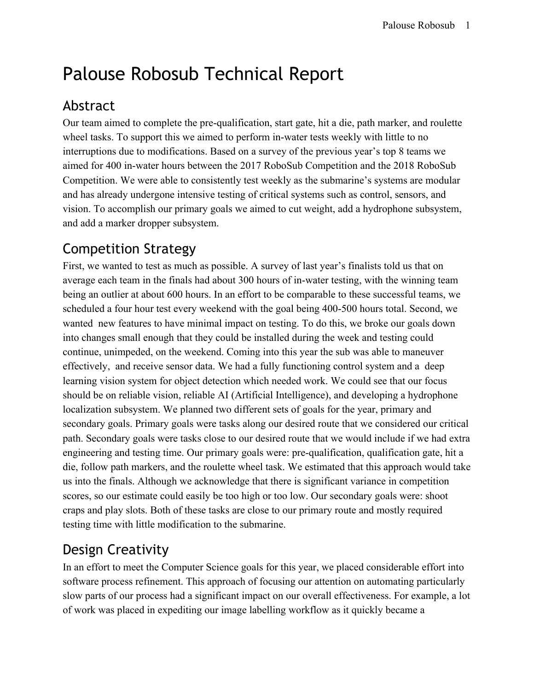# Palouse Robosub Technical Report

## Abstract

Our team aimed to complete the pre-qualification, start gate, hit a die, path marker, and roulette wheel tasks. To support this we aimed to perform in-water tests weekly with little to no interruptions due to modifications. Based on a survey of the previous year's top 8 teams we aimed for 400 in-water hours between the 2017 RoboSub Competition and the 2018 RoboSub Competition. We were able to consistently test weekly as the submarine's systems are modular and has already undergone intensive testing of critical systems such as control, sensors, and vision. To accomplish our primary goals we aimed to cut weight, add a hydrophone subsystem, and add a marker dropper subsystem.

## Competition Strategy

First, we wanted to test as much as possible. A survey of last year's finalists told us that on average each team in the finals had about 300 hours of in-water testing, with the winning team being an outlier at about 600 hours. In an effort to be comparable to these successful teams, we scheduled a four hour test every weekend with the goal being 400-500 hours total. Second, we wanted new features to have minimal impact on testing. To do this, we broke our goals down into changes small enough that they could be installed during the week and testing could continue, unimpeded, on the weekend. Coming into this year the sub was able to maneuver effectively, and receive sensor data. We had a fully functioning control system and a deep learning vision system for object detection which needed work. We could see that our focus should be on reliable vision, reliable AI (Artificial Intelligence), and developing a hydrophone localization subsystem. We planned two different sets of goals for the year, primary and secondary goals. Primary goals were tasks along our desired route that we considered our critical path. Secondary goals were tasks close to our desired route that we would include if we had extra engineering and testing time. Our primary goals were: pre-qualification, qualification gate, hit a die, follow path markers, and the roulette wheel task. We estimated that this approach would take us into the finals. Although we acknowledge that there is significant variance in competition scores, so our estimate could easily be too high or too low. Our secondary goals were: shoot craps and play slots. Both of these tasks are close to our primary route and mostly required testing time with little modification to the submarine.

## Design Creativity

In an effort to meet the Computer Science goals for this year, we placed considerable effort into software process refinement. This approach of focusing our attention on automating particularly slow parts of our process had a significant impact on our overall effectiveness. For example, a lot of work was placed in expediting our image labelling workflow as it quickly became a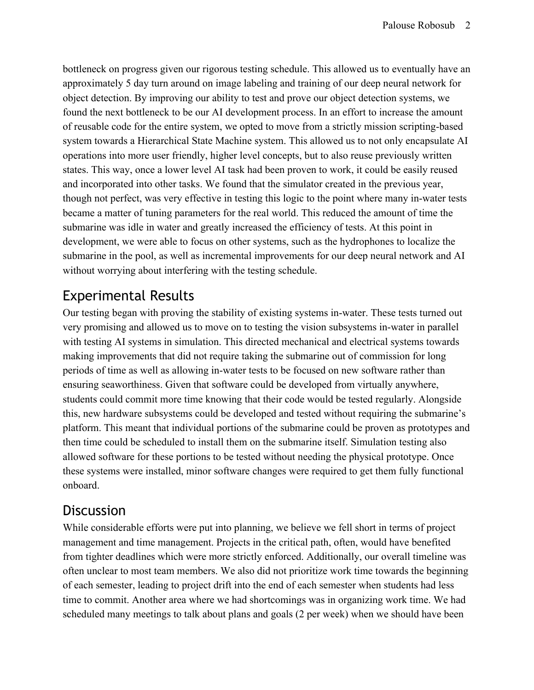bottleneck on progress given our rigorous testing schedule. This allowed us to eventually have an approximately 5 day turn around on image labeling and training of our deep neural network for object detection. By improving our ability to test and prove our object detection systems, we found the next bottleneck to be our AI development process. In an effort to increase the amount of reusable code for the entire system, we opted to move from a strictly mission scripting-based system towards a Hierarchical State Machine system. This allowed us to not only encapsulate AI operations into more user friendly, higher level concepts, but to also reuse previously written states. This way, once a lower level AI task had been proven to work, it could be easily reused and incorporated into other tasks. We found that the simulator created in the previous year, though not perfect, was very effective in testing this logic to the point where many in-water tests became a matter of tuning parameters for the real world. This reduced the amount of time the submarine was idle in water and greatly increased the efficiency of tests. At this point in development, we were able to focus on other systems, such as the hydrophones to localize the submarine in the pool, as well as incremental improvements for our deep neural network and AI without worrying about interfering with the testing schedule.

### Experimental Results

Our testing began with proving the stability of existing systems in-water. These tests turned out very promising and allowed us to move on to testing the vision subsystems in-water in parallel with testing AI systems in simulation. This directed mechanical and electrical systems towards making improvements that did not require taking the submarine out of commission for long periods of time as well as allowing in-water tests to be focused on new software rather than ensuring seaworthiness. Given that software could be developed from virtually anywhere, students could commit more time knowing that their code would be tested regularly. Alongside this, new hardware subsystems could be developed and tested without requiring the submarine's platform. This meant that individual portions of the submarine could be proven as prototypes and then time could be scheduled to install them on the submarine itself. Simulation testing also allowed software for these portions to be tested without needing the physical prototype. Once these systems were installed, minor software changes were required to get them fully functional onboard.

#### **Discussion**

While considerable efforts were put into planning, we believe we fell short in terms of project management and time management. Projects in the critical path, often, would have benefited from tighter deadlines which were more strictly enforced. Additionally, our overall timeline was often unclear to most team members. We also did not prioritize work time towards the beginning of each semester, leading to project drift into the end of each semester when students had less time to commit. Another area where we had shortcomings was in organizing work time. We had scheduled many meetings to talk about plans and goals (2 per week) when we should have been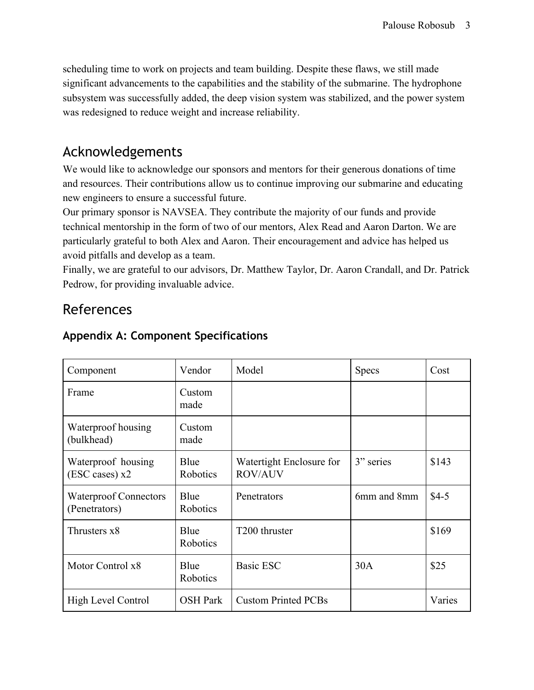scheduling time to work on projects and team building. Despite these flaws, we still made significant advancements to the capabilities and the stability of the submarine. The hydrophone subsystem was successfully added, the deep vision system was stabilized, and the power system was redesigned to reduce weight and increase reliability.

#### Acknowledgements

We would like to acknowledge our sponsors and mentors for their generous donations of time and resources. Their contributions allow us to continue improving our submarine and educating new engineers to ensure a successful future.

Our primary sponsor is NAVSEA. They contribute the majority of our funds and provide technical mentorship in the form of two of our mentors, Alex Read and Aaron Darton. We are particularly grateful to both Alex and Aaron. Their encouragement and advice has helped us avoid pitfalls and develop as a team.

Finally, we are grateful to our advisors, Dr. Matthew Taylor, Dr. Aaron Crandall, and Dr. Patrick Pedrow, for providing invaluable advice.

#### References

| Component                                     | Vendor           | Model                                      | <b>Specs</b> | Cost   |
|-----------------------------------------------|------------------|--------------------------------------------|--------------|--------|
| Frame                                         | Custom<br>made   |                                            |              |        |
| Waterproof housing<br>(bulkhead)              | Custom<br>made   |                                            |              |        |
| Waterproof housing<br>(ESC cases) x2          | Blue<br>Robotics | Watertight Enclosure for<br><b>ROV/AUV</b> | 3" series    | \$143  |
| <b>Waterproof Connectors</b><br>(Penetrators) | Blue<br>Robotics | Penetrators                                | 6mm and 8mm  | $$4-5$ |
| Thrusters x8                                  | Blue<br>Robotics | T <sub>200</sub> thruster                  |              | \$169  |
| Motor Control x8                              | Blue<br>Robotics | <b>Basic ESC</b>                           | 30A          | \$25   |
| High Level Control                            | <b>OSH Park</b>  | <b>Custom Printed PCBs</b>                 |              | Varies |

#### **Appendix A: Component Specifications**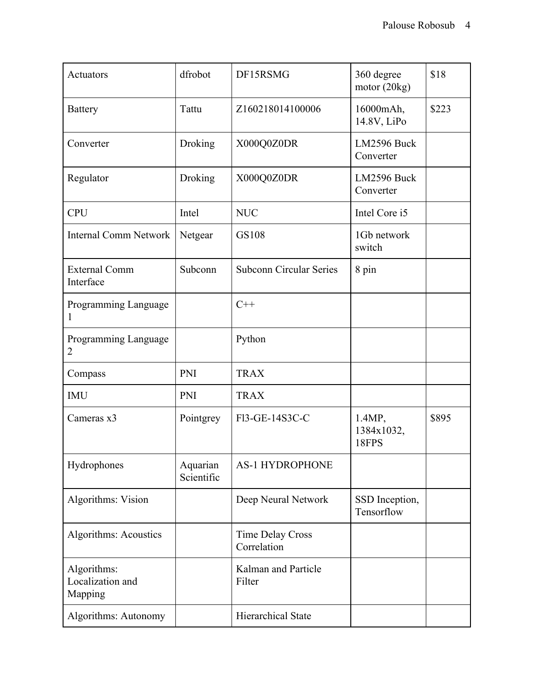| Actuators                                  | dfrobot                | DF15RSMG                               | 360 degree<br>motor $(20kg)$  | \$18  |
|--------------------------------------------|------------------------|----------------------------------------|-------------------------------|-------|
| <b>Battery</b>                             | Tattu                  | Z160218014100006                       | 16000mAh,<br>14.8V, LiPo      | \$223 |
| Converter                                  | Droking                | X000Q0Z0DR                             | LM2596 Buck<br>Converter      |       |
| Regulator                                  | Droking                | X000Q0Z0DR                             | LM2596 Buck<br>Converter      |       |
| <b>CPU</b>                                 | Intel                  | <b>NUC</b>                             | Intel Core i5                 |       |
| <b>Internal Comm Network</b>               | Netgear                | <b>GS108</b>                           | 1Gb network<br>switch         |       |
| <b>External Comm</b><br>Interface          | Subconn                | <b>Subconn Circular Series</b>         | 8 pin                         |       |
| Programming Language<br>1                  |                        | $C++$                                  |                               |       |
| Programming Language<br>2                  |                        | Python                                 |                               |       |
| Compass                                    | PNI                    | <b>TRAX</b>                            |                               |       |
| <b>IMU</b>                                 | PNI                    | <b>TRAX</b>                            |                               |       |
| Cameras x3                                 | Pointgrey              | F13-GE-14S3C-C                         | 1.4MP,<br>1384x1032,<br>18FPS | \$895 |
| Hydrophones                                | Aquarian<br>Scientific | <b>AS-1 HYDROPHONE</b>                 |                               |       |
| Algorithms: Vision                         |                        | Deep Neural Network                    | SSD Inception,<br>Tensorflow  |       |
| Algorithms: Acoustics                      |                        | <b>Time Delay Cross</b><br>Correlation |                               |       |
| Algorithms:<br>Localization and<br>Mapping |                        | Kalman and Particle<br>Filter          |                               |       |
| Algorithms: Autonomy                       |                        | <b>Hierarchical State</b>              |                               |       |